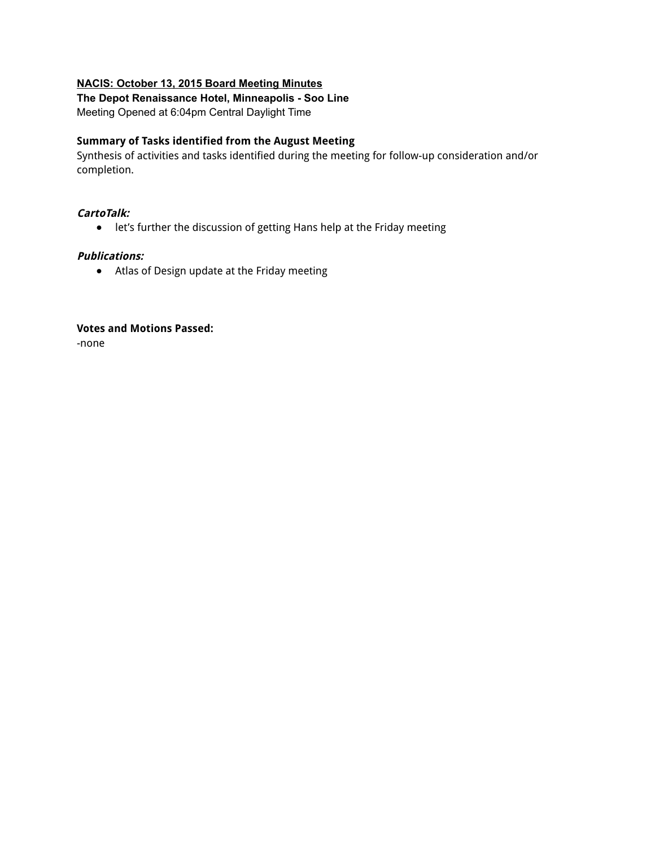#### **NACIS: October 13, 2015 Board Meeting Minutes**

# **The Depot Renaissance Hotel, Minneapolis Soo Line**

Meeting Opened at 6:04pm Central Daylight Time

#### **Summary of Tasks identified from the August Meeting**

Synthesis of activities and tasks identified during the meeting for follow-up consideration and/or completion.

## **CartoTalk:**

● let's further the discussion of getting Hans help at the Friday meeting

## **Publications:**

● Atlas of Design update at the Friday meeting

#### **Votes and Motions Passed:**

-none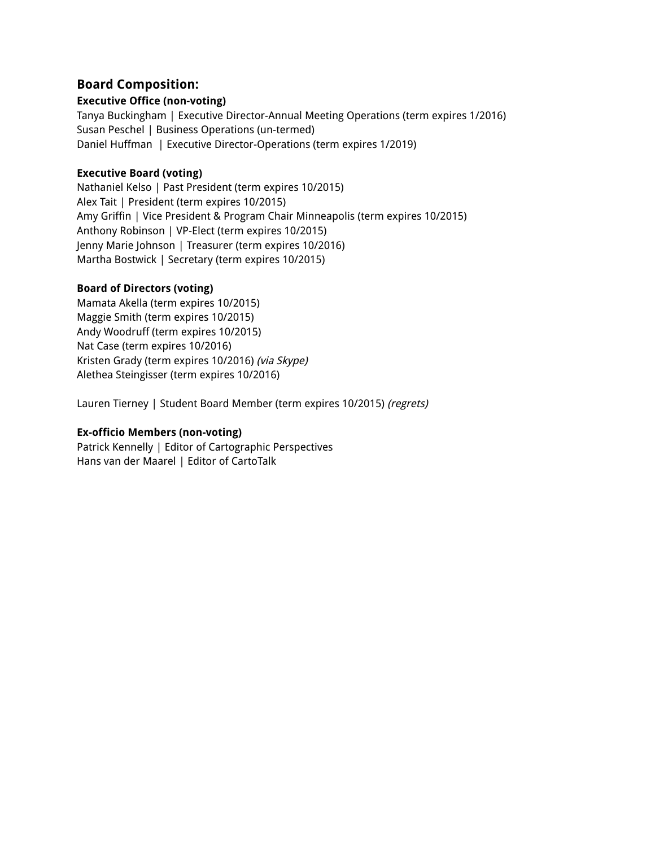# **Board Composition:**

## **Executive Office (non-voting)**

Tanya Buckingham | Executive Director-Annual Meeting Operations (term expires 1/2016) Susan Peschel | Business Operations (un-termed) Daniel Huffman | Executive Director-Operations (term expires 1/2019)

## **Executive Board (voting)**

Nathaniel Kelso | Past President (term expires 10/2015) Alex Tait | President (term expires 10/2015) Amy Griffin | Vice President & Program Chair Minneapolis (term expires 10/2015) Anthony Robinson | VP-Elect (term expires 10/2015) Jenny Marie Johnson | Treasurer (term expires 10/2016) Martha Bostwick | Secretary (term expires 10/2015)

### **Board of Directors (voting)**

Mamata Akella (term expires 10/2015) Maggie Smith (term expires 10/2015) Andy Woodruff (term expires 10/2015) Nat Case (term expires 10/2016) Kristen Grady (term expires 10/2016) (via Skype) Alethea Steingisser (term expires 10/2016)

Lauren Tierney | Student Board Member (term expires 10/2015) (regrets)

# **Ex-officio Members (non-voting)**

Patrick Kennelly | Editor of Cartographic Perspectives Hans van der Maarel | Editor of CartoTalk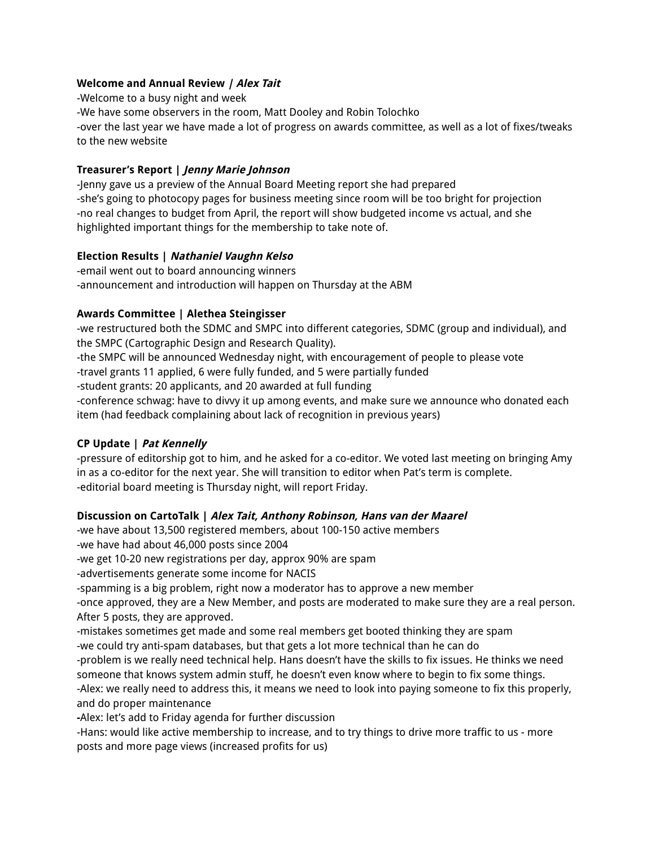## **Welcome and Annual Review | Alex Tait**

-Welcome to a busy night and week -We have some observers in the room, Matt Dooley and Robin Tolochko -over the last year we have made a lot of progress on awards committee, as well as a lot of fixes/tweaks to the new website

## **Treasurer's Report | Jenny Marie Johnson**

-Jenny gave us a preview of the Annual Board Meeting report she had prepared -she's going to photocopy pages for business meeting since room will be too bright for projection -no real changes to budget from April, the report will show budgeted income vs actual, and she highlighted important things for the membership to take note of.

### **Election Results | Nathaniel Vaughn Kelso**

-email went out to board announcing winners -announcement and introduction will happen on Thursday at the ABM

# **Awards Committee | Alethea Steingisser**

-we restructured both the SDMC and SMPC into different categories, SDMC (group and individual), and the SMPC (Cartographic Design and Research Quality).

-the SMPC will be announced Wednesday night, with encouragement of people to please vote

-travel grants 11 applied, 6 were fully funded, and 5 were partially funded

-student grants: 20 applicants, and 20 awarded at full funding

-conference schwag: have to divvy it up among events, and make sure we announce who donated each item (had feedback complaining about lack of recognition in previous years)

# **CP Update | Pat Kennelly**

-pressure of editorship got to him, and he asked for a co-editor. We voted last meeting on bringing Amy in as a co-editor for the next year. She will transition to editor when Pat's term is complete. -editorial board meeting is Thursday night, will report Friday.

# **Discussion on CartoTalk | Alex Tait, Anthony Robinson, Hans van der Maarel**

-we have about 13,500 registered members, about 100-150 active members

-we have had about 46,000 posts since 2004

-we get 10-20 new registrations per day, approx 90% are spam

-advertisements generate some income for NACIS

-spamming is a big problem, right now a moderator has to approve a new member

-once approved, they are a New Member, and posts are moderated to make sure they are a real person. After 5 posts, they are approved.

-mistakes sometimes get made and some real members get booted thinking they are spam

-we could try anti-spam databases, but that gets a lot more technical than he can do

-problem is we really need technical help. Hans doesn't have the skills to fix issues. He thinks we need someone that knows system admin stuff, he doesn't even know where to begin to fix some things.

-Alex: we really need to address this, it means we need to look into paying someone to fix this properly, and do proper maintenance

**-**Alex: let's add to Friday agenda for further discussion

-Hans: would like active membership to increase, and to try things to drive more traffic to us - more posts and more page views (increased profits for us)